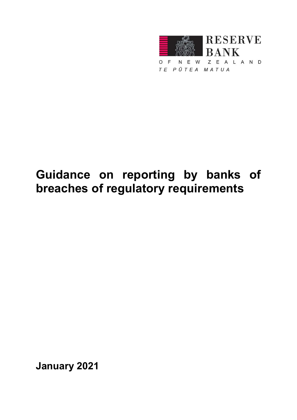

Guidance on reporting by banks of breaches of regulatory requirements

January 2021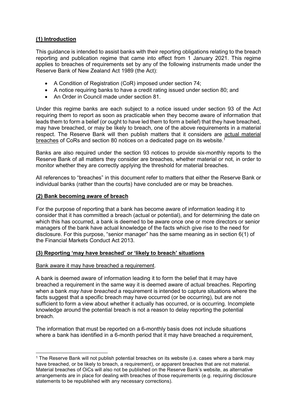# (1) Introduction

This guidance is intended to assist banks with their reporting obligations relating to the breach reporting and publication regime that came into effect from 1 January 2021. This regime applies to breaches of requirements set by any of the following instruments made under the Reserve Bank of New Zealand Act 1989 (the Act):

- A Condition of Registration (CoR) imposed under section 74;
- A notice requiring banks to have a credit rating issued under section 80; and
- An Order in Council made under section 81.

Under this regime banks are each subject to a notice issued under section 93 of the Act requiring them to report as soon as practicable when they become aware of information that leads them to form a belief (or ought to have led them to form a belief) that they have breached, may have breached, or may be likely to breach, one of the above requirements in a material respect. The Reserve Bank will then publish matters that it considers are actual material breaches of CoRs and section 80 notices on a dedicated page on its website.<sup>1</sup>

Banks are also required under the section 93 notices to provide six-monthly reports to the Reserve Bank of all matters they consider are breaches, whether material or not, in order to monitor whether they are correctly applying the threshold for material breaches.

All references to "breaches" in this document refer to matters that either the Reserve Bank or individual banks (rather than the courts) have concluded are or may be breaches.

#### (2) Bank becoming aware of breach

For the purpose of reporting that a bank has become aware of information leading it to consider that it has committed a breach (actual or potential), and for determining the date on which this has occurred, a bank is deemed to be aware once one or more directors or senior managers of the bank have actual knowledge of the facts which give rise to the need for disclosure. For this purpose, "senior manager" has the same meaning as in section 6(1) of the Financial Markets Conduct Act 2013.

## (3) Reporting 'may have breached' or 'likely to breach' situations

#### Bank aware it may have breached a requirement.

-

A bank is deemed aware of information leading it to form the belief that it may have breached a requirement in the same way it is deemed aware of actual breaches. Reporting when a bank *may have breached* a requirement is intended to capture situations where the facts suggest that a specific breach may have occurred (or be occurring), but are not sufficient to form a view about whether it actually has occurred, or is occurring. Incomplete knowledge around the potential breach is not a reason to delay reporting the potential breach.

The information that must be reported on a 6-monthly basis does not include situations where a bank has identified in a 6-month period that it may have breached a requirement,

<sup>1</sup> The Reserve Bank will not publish potential breaches on its website (i.e. cases where a bank may have breached, or be likely to breach, a requirement), or apparent breaches that are not material. Material breaches of OiCs will also not be published on the Reserve Bank's website, as alternative arrangements are in place for dealing with breaches of those requirements (e.g. requiring disclosure statements to be republished with any necessary corrections).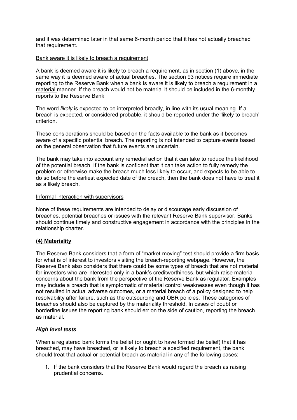and it was determined later in that same 6-month period that it has not actually breached that requirement.

#### Bank aware it is likely to breach a requirement

A bank is deemed aware it is likely to breach a requirement, as in section (1) above, in the same way it is deemed aware of actual breaches. The section 93 notices require immediate reporting to the Reserve Bank when a bank is aware it is likely to breach a requirement in a material manner. If the breach would not be material it should be included in the 6-monthly reports to the Reserve Bank.

The word *likely* is expected to be interpreted broadly, in line with its usual meaning. If a breach is expected, or considered probable, it should be reported under the 'likely to breach' criterion.

These considerations should be based on the facts available to the bank as it becomes aware of a specific potential breach. The reporting is not intended to capture events based on the general observation that future events are uncertain.

The bank may take into account any remedial action that it can take to reduce the likelihood of the potential breach. If the bank is confident that it can take action to fully remedy the problem or otherwise make the breach much less likely to occur, and expects to be able to do so before the earliest expected date of the breach, then the bank does not have to treat it as a likely breach.

#### Informal interaction with supervisors

None of these requirements are intended to delay or discourage early discussion of breaches, potential breaches or issues with the relevant Reserve Bank supervisor. Banks should continue timely and constructive engagement in accordance with the principles in the relationship charter.

## (4) Materiality

The Reserve Bank considers that a form of "market-moving" test should provide a firm basis for what is of interest to investors visiting the breach-reporting webpage. However, the Reserve Bank also considers that there could be some types of breach that are not material for investors who are interested only in a bank's creditworthiness, but which raise material concerns about the bank from the perspective of the Reserve Bank as regulator. Examples may include a breach that is symptomatic of material control weaknesses even though it has not resulted in actual adverse outcomes, or a material breach of a policy designed to help resolvability after failure, such as the outsourcing and OBR policies. These categories of breaches should also be captured by the materiality threshold. In cases of doubt or borderline issues the reporting bank should err on the side of caution, reporting the breach as material.

## **High level tests**

When a registered bank forms the belief (or ought to have formed the belief) that it has breached, may have breached, or is likely to breach a specified requirement, the bank should treat that actual or potential breach as material in any of the following cases:

1. If the bank considers that the Reserve Bank would regard the breach as raising prudential concerns.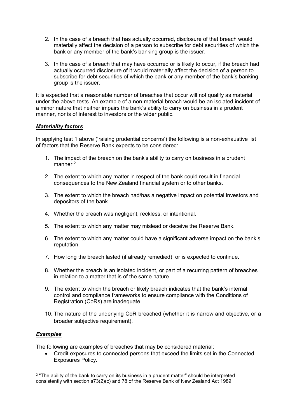- 2. In the case of a breach that has actually occurred, disclosure of that breach would materially affect the decision of a person to subscribe for debt securities of which the bank or any member of the bank's banking group is the issuer.
- 3. In the case of a breach that may have occurred or is likely to occur, if the breach had actually occurred disclosure of it would materially affect the decision of a person to subscribe for debt securities of which the bank or any member of the bank's banking group is the issuer.

It is expected that a reasonable number of breaches that occur will not qualify as material under the above tests. An example of a non-material breach would be an isolated incident of a minor nature that neither impairs the bank's ability to carry on business in a prudent manner, nor is of interest to investors or the wider public.

## Materiality factors

In applying test 1 above ('raising prudential concerns') the following is a non-exhaustive list of factors that the Reserve Bank expects to be considered:

- 1. The impact of the breach on the bank's ability to carry on business in a prudent manner.<sup>2</sup>
- 2. The extent to which any matter in respect of the bank could result in financial consequences to the New Zealand financial system or to other banks.
- 3. The extent to which the breach had/has a negative impact on potential investors and depositors of the bank.
- 4. Whether the breach was negligent, reckless, or intentional.
- 5. The extent to which any matter may mislead or deceive the Reserve Bank.
- 6. The extent to which any matter could have a significant adverse impact on the bank's reputation.
- 7. How long the breach lasted (if already remedied), or is expected to continue.
- 8. Whether the breach is an isolated incident, or part of a recurring pattern of breaches in relation to a matter that is of the same nature.
- 9. The extent to which the breach or likely breach indicates that the bank's internal control and compliance frameworks to ensure compliance with the Conditions of Registration (CoRs) are inadequate.
- 10. The nature of the underlying CoR breached (whether it is narrow and objective, or a broader subjective requirement).

# Examples

The following are examples of breaches that may be considered material:

 Credit exposures to connected persons that exceed the limits set in the Connected Exposures Policy.

<sup>-</sup><sup>2</sup> "The ability of the bank to carry on its business in a prudent matter" should be interpreted consistently with section s73(2)(c) and 78 of the Reserve Bank of New Zealand Act 1989.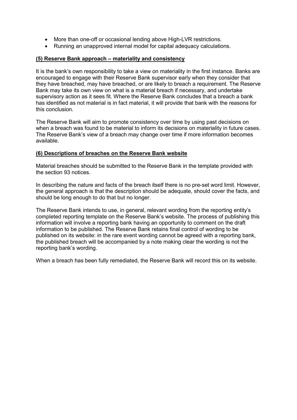- More than one-off or occasional lending above High-LVR restrictions.
- Running an unapproved internal model for capital adequacy calculations.

## (5) Reserve Bank approach – materiality and consistency

It is the bank's own responsibility to take a view on materiality in the first instance. Banks are encouraged to engage with their Reserve Bank supervisor early when they consider that they have breached, may have breached, or are likely to breach a requirement. The Reserve Bank may take its own view on what is a material breach if necessary, and undertake supervisory action as it sees fit. Where the Reserve Bank concludes that a breach a bank has identified as not material is in fact material, it will provide that bank with the reasons for this conclusion.

The Reserve Bank will aim to promote consistency over time by using past decisions on when a breach was found to be material to inform its decisions on materiality in future cases. The Reserve Bank's view of a breach may change over time if more information becomes available.

## (6) Descriptions of breaches on the Reserve Bank website

Material breaches should be submitted to the Reserve Bank in the template provided with the section 93 notices.

In describing the nature and facts of the breach itself there is no pre-set word limit. However, the general approach is that the description should be adequate, should cover the facts, and should be long enough to do that but no longer.

The Reserve Bank intends to use, in general, relevant wording from the reporting entity's completed reporting template on the Reserve Bank's website. The process of publishing this information will involve a reporting bank having an opportunity to comment on the draft information to be published. The Reserve Bank retains final control of wording to be published on its website: in the rare event wording cannot be agreed with a reporting bank, the published breach will be accompanied by a note making clear the wording is not the reporting bank's wording.

When a breach has been fully remediated, the Reserve Bank will record this on its website.